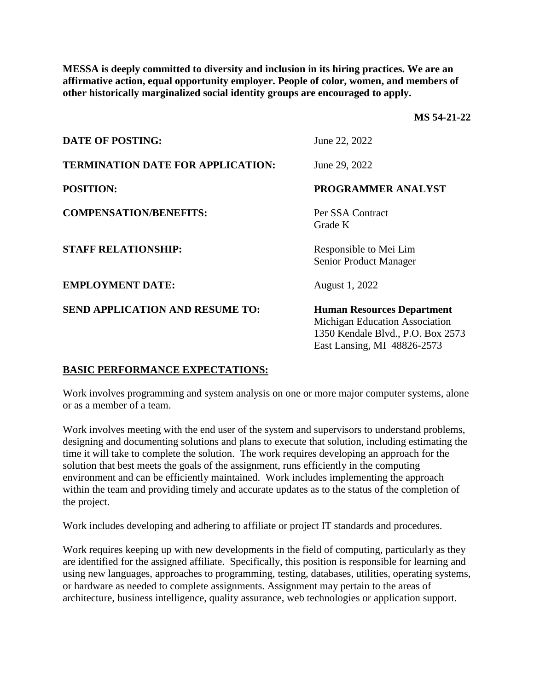**MESSA is deeply committed to diversity and inclusion in its hiring practices. We are an affirmative action, equal opportunity employer. People of color, women, and members of other historically marginalized social identity groups are encouraged to apply.** 

**MS 54-21-22**

| <b>DATE OF POSTING:</b>                  | June 22, 2022                                                                                                                           |
|------------------------------------------|-----------------------------------------------------------------------------------------------------------------------------------------|
| <b>TERMINATION DATE FOR APPLICATION:</b> | June 29, 2022                                                                                                                           |
| <b>POSITION:</b>                         | PROGRAMMER ANALYST                                                                                                                      |
| <b>COMPENSATION/BENEFITS:</b>            | Per SSA Contract<br>Grade K                                                                                                             |
| <b>STAFF RELATIONSHIP:</b>               | Responsible to Mei Lim<br><b>Senior Product Manager</b>                                                                                 |
| <b>EMPLOYMENT DATE:</b>                  | August 1, 2022                                                                                                                          |
| <b>SEND APPLICATION AND RESUME TO:</b>   | <b>Human Resources Department</b><br>Michigan Education Association<br>1350 Kendale Blvd., P.O. Box 2573<br>East Lansing, MI 48826-2573 |

## **BASIC PERFORMANCE EXPECTATIONS:**

Work involves programming and system analysis on one or more major computer systems, alone or as a member of a team.

Work involves meeting with the end user of the system and supervisors to understand problems, designing and documenting solutions and plans to execute that solution, including estimating the time it will take to complete the solution. The work requires developing an approach for the solution that best meets the goals of the assignment, runs efficiently in the computing environment and can be efficiently maintained. Work includes implementing the approach within the team and providing timely and accurate updates as to the status of the completion of the project.

Work includes developing and adhering to affiliate or project IT standards and procedures.

Work requires keeping up with new developments in the field of computing, particularly as they are identified for the assigned affiliate. Specifically, this position is responsible for learning and using new languages, approaches to programming, testing, databases, utilities, operating systems, or hardware as needed to complete assignments. Assignment may pertain to the areas of architecture, business intelligence, quality assurance, web technologies or application support.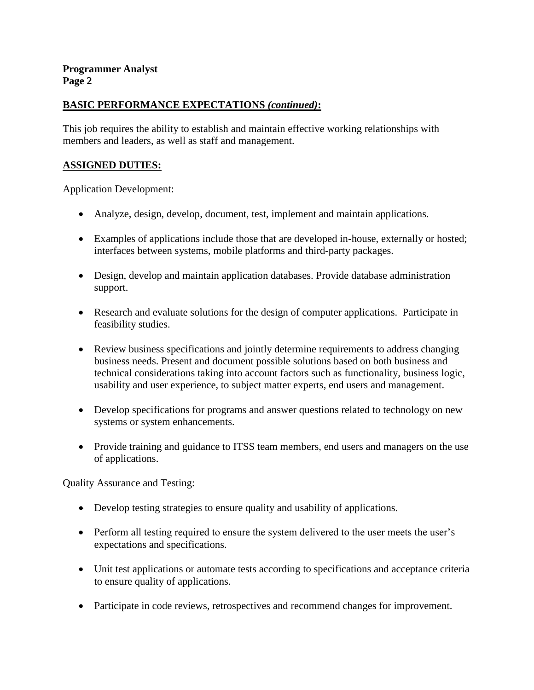# **BASIC PERFORMANCE EXPECTATIONS** *(continued)***:**

This job requires the ability to establish and maintain effective working relationships with members and leaders, as well as staff and management.

### **ASSIGNED DUTIES:**

Application Development:

- Analyze, design, develop, document, test, implement and maintain applications.
- Examples of applications include those that are developed in-house, externally or hosted; interfaces between systems, mobile platforms and third-party packages.
- Design, develop and maintain application databases. Provide database administration support.
- Research and evaluate solutions for the design of computer applications. Participate in feasibility studies.
- Review business specifications and jointly determine requirements to address changing business needs. Present and document possible solutions based on both business and technical considerations taking into account factors such as functionality, business logic, usability and user experience, to subject matter experts, end users and management.
- Develop specifications for programs and answer questions related to technology on new systems or system enhancements.
- Provide training and guidance to ITSS team members, end users and managers on the use of applications.

Quality Assurance and Testing:

- Develop testing strategies to ensure quality and usability of applications.
- Perform all testing required to ensure the system delivered to the user meets the user's expectations and specifications.
- Unit test applications or automate tests according to specifications and acceptance criteria to ensure quality of applications.
- Participate in code reviews, retrospectives and recommend changes for improvement.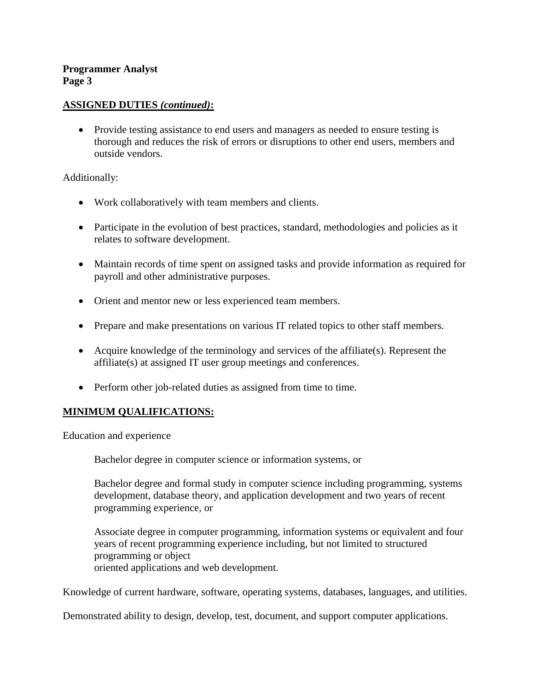### **ASSIGNED DUTIES** *(continued)***:**

• Provide testing assistance to end users and managers as needed to ensure testing is thorough and reduces the risk of errors or disruptions to other end users, members and outside vendors.

#### Additionally:

- Work collaboratively with team members and clients.
- Participate in the evolution of best practices, standard, methodologies and policies as it relates to software development.
- Maintain records of time spent on assigned tasks and provide information as required for payroll and other administrative purposes.
- Orient and mentor new or less experienced team members.
- Prepare and make presentations on various IT related topics to other staff members.
- Acquire knowledge of the terminology and services of the affiliate(s). Represent the affiliate(s) at assigned IT user group meetings and conferences.
- Perform other job-related duties as assigned from time to time.

## **MINIMUM QUALIFICATIONS:**

Education and experience

Bachelor degree in computer science or information systems, or

Bachelor degree and formal study in computer science including programming, systems development, database theory, and application development and two years of recent programming experience, or

Associate degree in computer programming, information systems or equivalent and four years of recent programming experience including, but not limited to structured programming or object oriented applications and web development.

Knowledge of current hardware, software, operating systems, databases, languages, and utilities.

Demonstrated ability to design, develop, test, document, and support computer applications.